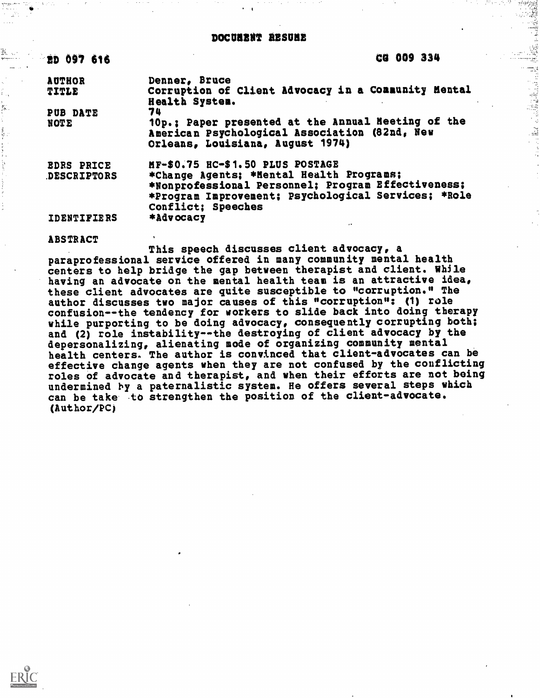| <b>ED 097 616</b>  | CG 009 334                                                                                                                              |  |
|--------------------|-----------------------------------------------------------------------------------------------------------------------------------------|--|
| <b>AUTHOR</b>      | Denner, Bruce                                                                                                                           |  |
| TITLE              | Corruption of Client Advocacy in a Community Mental<br>Health System.                                                                   |  |
| <b>PUB DATE</b>    | 74                                                                                                                                      |  |
| NOTE               | 10p.; Paper presented at the Annual Meeting of the<br>American Psychological Association (82nd, New<br>Orleans, Louisiana, August 1974) |  |
| <b>EDRS PRICE</b>  | MF-\$0.75 HC-\$1.50 PLUS POSTAGE                                                                                                        |  |
| DESCRIPTORS        | *Change Agents; *Hental Health Programs;                                                                                                |  |
|                    | *Nonprofessional Personnel; Program Effectiveness;                                                                                      |  |
|                    | *Program Improvement; Psychological Services; *Role                                                                                     |  |
|                    | Conflict; Speeches                                                                                                                      |  |
| <b>IDENTIFIERS</b> | *Advocacy                                                                                                                               |  |

## ABSTRACT

Ф.

 $\overline{\mathcal{L}}_k$ 

This speech discusses client advocacy, a paraprofessional service offered in many community mental health centers to help bridge the gap between therapist and client. While having an advocate on the mental health team is an attractive idea, these client advocates are quite susceptible to "corruption." The author discusses two major causes of this "corruption": (1) role confusion--the tendency for workers to slide back into doing therapy while purporting to be doing advocacy, consequently corrupting both; and (2) role instability--the destroying of client advocacy by the depersonalizing, alienating mode of organizing community mental health centers. The author is convinced that client-advocates can be effective change agents when they are not confused by the conflicting roles of advocate and therapist, and when their efforts are not being undermined by a paternalistic system. He offers several steps which can be take to strengthen the position of the client-advocate. (Author/PC)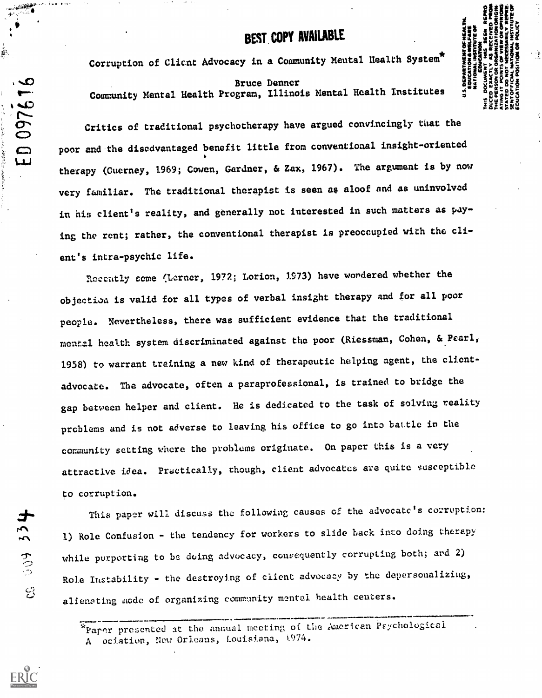## BEST COPY AVAILABLE

111/1 ESSE EN ESSENTING<br>1950 ESSENTING<br>1950 ESSENTING Bruce Denner  $\frac{3}{2}$   $\frac{3}{2}$   $\frac{3}{2}$   $\frac{3}{2}$   $\frac{3}{2}$   $\frac{3}{2}$   $\frac{3}{2}$   $\frac{3}{2}$   $\frac{3}{2}$   $\frac{3}{2}$   $\frac{3}{2}$   $\frac{3}{2}$   $\frac{3}{2}$   $\frac{3}{2}$   $\frac{3}{2}$   $\frac{3}{2}$   $\frac{3}{2}$   $\frac{3}{2}$   $\frac{3}{2}$   $\frac{3}{2}$   $\frac{3}{2}$ **= description**<br>= goepisted INE<br>DIE EINE<br>DIE EINE<br>DIE EINE

Corruption of Client Advocacy in a Community Mental Health System\*

Community Mental Health Program, Illinois Mental Health Institutes ... Search

Critics of traditional psychotherapy have argued convincingly that the  $\circ$   $\circ$ poor and the disedvantaged benefit little from conventional insight-oriented LAJ therapy (Cuerney, 1969; Cowen, Gardner, & Zax, 1967). The argument is by now very familiar. The traditional therapist is seen as aloof and as uninvolved in his client's reality, and generally not interested in such matters as paying the rent; rather, the conventional therapist is preoccupied with the client's intra-psychic life.

Reccatly come (Lerner, 1972; Lotion, 1973) have wondered whether the objectiaa is valid for all types of verbal insight therapy and for all poor people. Nevertheless, there was sufficient evidence that the traditional mental health system discriminated against the poor (Riessman, Cohen, & Pearl, 1958) to warrant training a new kind of therapeutic helping agent, the clientadvocate. The advocate, often a paraprofessional, is trained to bridge the gap between helper and client. He is dedicated to the task of solving reality problems and is not adverse to leaving his office to go into battle in the community setting where the problems originate. On paper this is a very attractive idea. Practically, though, client advocates are quite susceptible to corruption.

This paper will discuss the following causes of the advocate's corruption: 1) Role Confusion - the tendency for workers to slide back into doing therapy while purporting to be doing advocacy, consequently corrupting both; ard 2) Role Instability - the destroying of client advocacy by the depersonaliziug, c: alienating 4lode of organizing community mental health centers.

> \*Paper presented at the annual meeting of the American Psychological A ociation, New Orleans, Louisiana, 1974.

 $\frac{1}{2}$ 

 $\sqrt{D}$ 

È.

<u>م حي</u>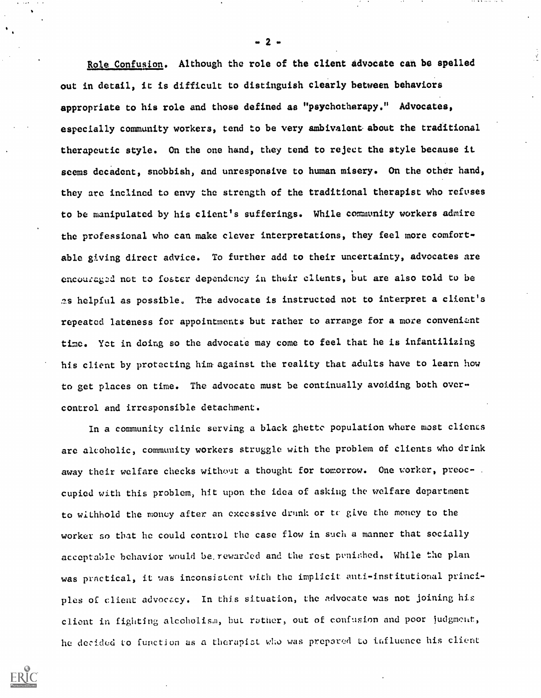Role Confusion. Although the role of the client advocate can be spelled out in detail, it is difficult to distinguish clearly between behaviors appropriate to his role and those defined as "psychotherapy." Advocates, especially community workers, tend to be very ambivalent. about the traditional therapeutic style. On the one hand, they tend to reject the style because it seems decadent, snobbish, and unresponsive to human misery. On the other hand, they are inclined to envy the strength of the traditional therapist who refuses to be manipulated by his client's sufferings. While community workers admire the professional who can make clever interpretations, they feel more comfortable giving direct advice. To further add to their uncertainty, advocates are encouraged not to foster dependency in their clients, but are also told to be as helpful as possible. The advocate is instructed not to interpret a client's repeated lateness for appointments but rather to arrange for a more convenient time. Yet in doing so the advocate may come to feel that he is infantilizing his client by protecting him. against the reality that adults have to learn how to get places on time. The advocate must be continually avoiding both overcontrol and irresponsible detachment.

In a community clinic serving a black ghette population where most clients are alcoholic, community workers struggle with the problem of clients who drink away their welfare checks without a thought for tomorrow. One worker, preoccupied with this problem, hit upon the idea of asking the welfare department to withhold the money after an excessive drunk or to give the money to the worker so that he could control the case flow in such a manner that socially acceptable behavior would be rewarded and the rest punished. While the plan was practical, it was inconsistent with the implicit anti-institutional principles of client advocacy. In this situation, the advocate was not joining his client in fighting alcoholism, but rather, out of confusion and poor judgment, he decided to function as a therapist who was prepared to influence his client



 $-2 -$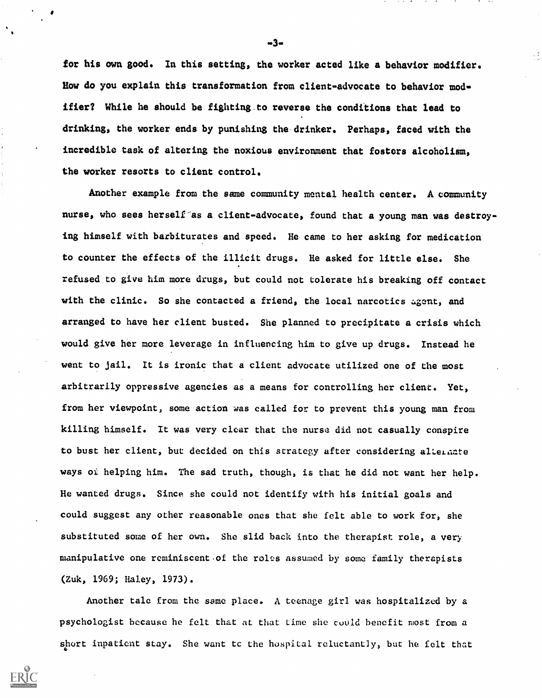for his own good. In this setting, the worker acted like a behavior modifier. How do you explain this transformation from client-advocate to behavior modifier? While he should be fighting.to reverse the conditions that lead to drinking, the worker ends by punishing the drinker. Perhaps, faced with the incredible task of altering the noxious environment that fosters alcoholism, the worker resorts to client control.

Another example from the same community mental health center. A community nurse, who sees herself as a client-advocate, found that a young man was destroying himself with barbiturates and speed. He came to her asking for medication to counter the effects of the illicit drugs. He asked for little else. She refused to give him more drugs, but could not tolerate his breaking off contact with the clinic. So she contacted a friend, the local narcotics agent, and arranged to have her client busted. She planned to precipitate a crisis which would give her more leverage in influencing him to give up drugs. Instead he went to jail. It is ironic that a client advocate utilized one of the most arbitrarily oppressive agencies as a means for controlling her client. Yet, from her viewpoint, some action was called for to prevent this young man from killing himself. It was very clear that the nurse did not casually conspire to bust her client, but decided on this strategy after considering alternate ways of helping him. The sad truth, though, is that he did not want her help. He wanted drugs. Since she could not identify with his initial goals and could suggest any other reasonable ones that she felt able to work for, she substituted some of her own. She slid back into the therapist role, a very manipulative one reminiscent .of the roles assumed by some family therapists (Zuk, 1969; Haley, 1973).

Another tale from the same place. A teenage girl was hospitalized by a psychologist because he felt that at that time she could benefit most from a short inpatient stay. She want tc the hospital reluctantly, but he felt that

.3.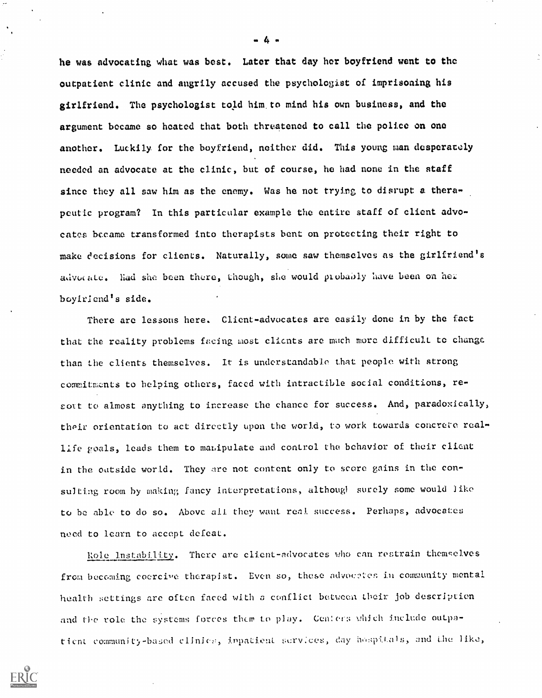he was advocating what was best. Later that day her boyfriend went to the outpatient clinic and angrily accused the psychologist of imprisoning his girlfriend. The psychologist told him. to mind his own business, and the argument became so heated that both threatened to call the police on one another. Luckily for the boyfriend, neither did. This young man desperately needed an advocate at the clinic, but of course, he had none in the staff since they all saw him as the enemy. Was he not trying to disrupt a therapeutic program? In this particular example the entire staff of client advocates became transformed into therapists bent on protecting their right to make decisions for clients. Naturally, some saw themselves as the girlfriend's advocate. Had she been there, though, she would probably have been on her boyfriend's side.

There are lessons here. Client-advocates are easily done in by the fact that the reality problems facing most clients are much more difficult to change than the clients themselves. It is understandable that people with strong commitments to helping others, faced with intractible social conditions, resout to almost anything to increase the chance for success. And, paradoxically, their orientation to act directly upon the world, to work towards concrete reallife goals, leads them to manipulate and control the behavior of their client in the outside world. They are not content only to score gains in the consulting room by making fancy interpretations, although surely some would like to be able to do so. Above all they want real success. Perhaps, advocates need to learn to accept defeat.

Kole instability. There are client-advocates who can restrain themselves from becoming coercive therapist. Even so, these advocates in community mental health settings are often faced with a conflict between their job description and the role the systems forces them to play. Centers which include outpatient. community-based. clinics, impatient services, day hospitals, and the like,

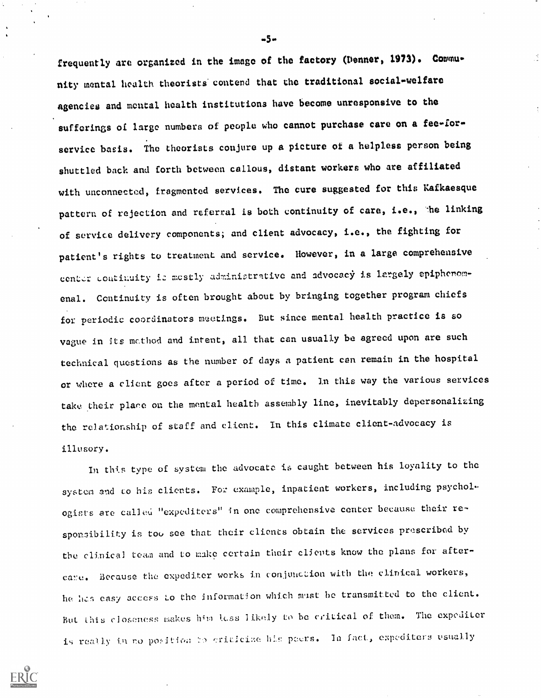frequently are organized in the image of the factory (Denner, 1973). Community mental health theorists contend that the traditional social-welfare agencies and mental health institutions have become unresponsive to the sufferings of large numbers of people who cannot purchase care on a fee-forservice basis. The theorists conjure up a picture of a helpless person being shuttled back and forth between callous, distant workers who are affiliated with unconnected, fragmented services. The cure suggested for this Kafkaesque pattern of rejection and referral is both continuity of care, i.e., the linking of service delivery components; and client advocacy, i.e., the fighting for patient's rights to treatment and service. However, in a large comprehensive center continuity is mostly administrative and advocacy is largely epiphenomenal. Ccntinuity is often brought about by bringing together program chiefs for periodic coordinators meetings. But since mental health practice is so vague in its method and intent, all that can usually be agreed upon are such technical questions as the number of days a patient can remain in the hospital or where a client goes after a period of time. In this way the various services take their place on the mental health assembly line, inevitably depersonalizing the relationship of staff and client. In this climate client-advocacy is illusory.

In this type of system the advocate is caught between his loyality to the system and to his clients. For example, inpatient workers, including psychologists are called "expediters" in one comprehensive center because their responsibility is too see that their clients obtain the services prescribed by the clinical team and to make certain their clients know the plans for aftercare. Because the expediter works in conjunction with the clinical workers, he has easy access to the information which must be transmitted to the client. But this closeness makes him less likely to be critical of them. The expediter is really in no position to criticine his peers. In fact, expediters usually



 $-5-$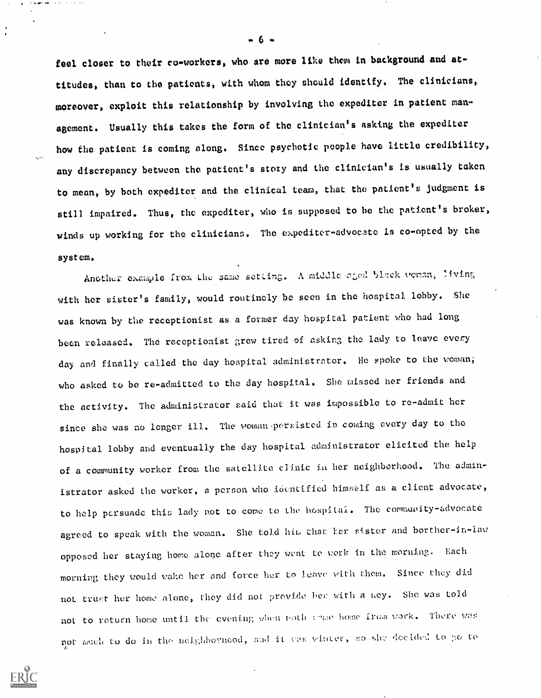feel closer to their co-workers, who are more like them in background and attitudes, than to the patients, with whom they should identify. The clinicians, moreover, exploit this relationship by involving the expediter in patient management. Usually this takes the form of the clinician's asking the expediter how the patient is coming along. Since psychotic people have little credibility, any discrepancy between the patient's story and the clinician's is usually taken to mean, by both expediter and the clinical team, that the patient's judgment is still impaired. Thus, the expediter, who is supposed to be the patient's broker, winds up working for the clinicians. The expediter-advocate is co-opted by the system.

Another example from the same setting. A middle aged black veman, living with her sister's family, would routinely be seen in the hospital. lobby. She was known by the receptionist as a former day hospital patient who had long been released. The receptionist grew tired of asking the lady to leave every day and finally called the day hospital administrator. He spoke to the woman; who asked to be re-admitted to the day hospital. She missed her friends and the activity. The administrator said that it was impossible to re-admit her since she was no longer ill. The woman-persisted in coming every day to the hospital lobby and eventually the day hospital administrator elicited the help of a community worker from the satellite clinic in her neighborhood. The administrator asked the worker, a person who identified himself as a client advocate, to help persuade this lady not to come to the hospital. The community-advocate agreed to speak with the woman. She told him that her sister and borther-in-law opposed her staying home alone after they went to work in the morning. Each morning they would wake her and force her to leave vith them. Since they did not trust her home alone, they did not provide her with a hey. She was told not to return home until the evening when poth chase home from work. There was not much to do in the neighborhood, and it was winter, so she decided to go to



. 6 .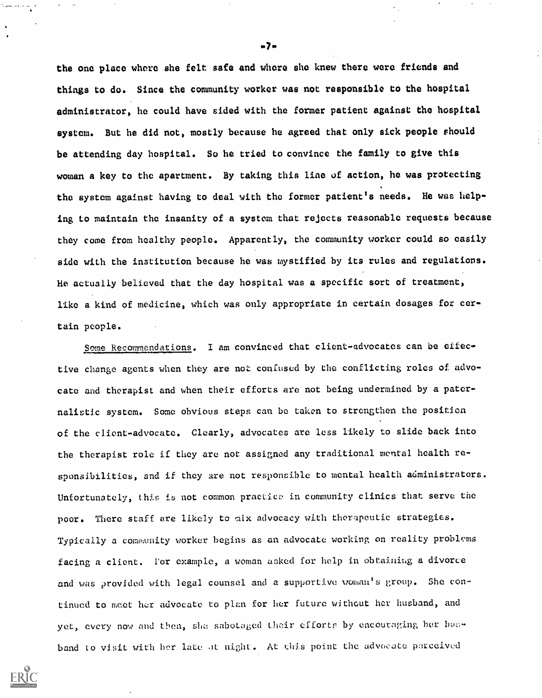the one place where she felt safe and where she knew there were friends and things to do. Since the community worker was not responsible to the hospital administrator, he could have sided with the former patient against the hospital system. But he did not, mostly because he agreed that only sick people should be attending day hospital. So he tried to convince the family to give this woman a key to the apartment. By taking this line of action, he was protecting the system against having to deal with the former patient's needs. He was helping to maintain the insanity of a system that rejects reasonable requests because they come from healthy people. Apparently, the community worker could so easily side with the institution because he was mystified by its rules and regulations. He actually believed that the day hospital was a specific sort of treatment, like a kind of medicine, which was only appropriate in certain dosages for certain people.

Some Recommendations. I am convinced that client-advocates can be effective change agents when they are not confused by the conflicting roles of advocate and therapist and when their efforts are not being undermined by a paternalistic system. Some obvious steps can be taken to strengthen the position of the client-advocate. Clearly, advocates are less likely to slide back into the therapist role if they are not assigned any traditional mental health responsibilities, and if they are not responsible to mental health administrators. Unfortunately, this is not common practice in community clinics that serve the poor. There staff are likely to mix advocacy with therapeutic strategies. Typically a community worker begins as an advocate working on reality problems facing a client. For example, a woman asked for help in obtaining a divorce and was provided with legal counsel and a supportive woman's group. She continued to meet her advocate to plan for her future without her husband, and yet, every now and then, she sabotaged their efforts by encouraging her husband to visit with her late at night. At this point the advocate perceived



.7.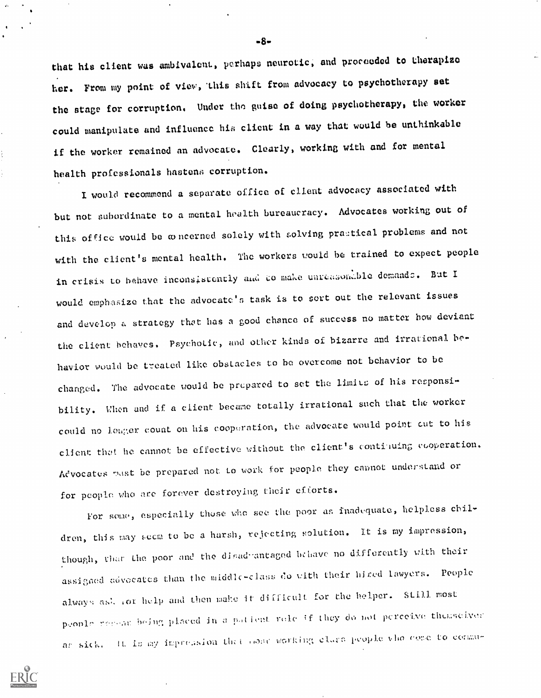that his client was ambivalent, perhaps neurotic, and proceeded to therapizo her. From my point of viev, 'this shift from advocacy to psychotherapy set the stage for corruption. Under tho guise of doing psychotherapy, the worker could manipulate and influence his client in a way that would be unthinkable if the worker remained an advocate. Clearly, working with and for mental health professionals hastens corruption.

I would recommend a separate office of client advocacy associated with but not subordinate to a mental health bureaucracy. Advocates working out of this office would be concerned solely with solving practical problems and not with the client's mental health. The workers would be trained to expect people in crisis to behave inconsistently and to make unreasonable demands. But I would emphasize that the advocate's task is to sert out the relevant issues and develop a strategy that has a good chance of success no matter how deviant the client behaves. Psychotic, and other kinds of bizarre and irrational behavior would be treated like obstacles to be overcome not behavior to be changed. The advocate would be prepared to set the limits of his responsibility. When and if a client became totally irrational such that the worker could no louger count on his cooperation, the advocate would point cut to his client that he cannot be effective without the client's continuing cooperation. Aevocates mist be prepared not to work for people they cannot understand or for people who are forever destroying their efforts.

For some, especially those who see the poor as inadequate, helpless children, this may seem to be a harsh, rejecting solution. It is my impression, though, that the poor and the disadvantaged behave no differently with their assigned advocates than the middlc-class do with their hired lawyers. People always ask for help and then make it difficult for the helper. Still most prople reseas being placed in a patient rele if they do not perceive themselves: as sick. It is my impression that conce working class people who come to commu-



.8.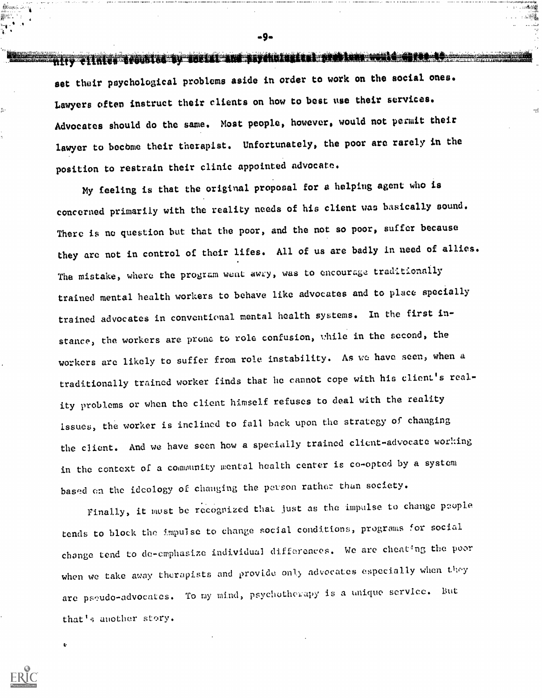nity elimin troubled by you're and psychological problem wald detect to set their psychological problems aside in order to work on the social ones. Lawyers often instruct their clients on how to best use their services. Advocates should do the same. Most people, however, would not permit their lawyer to bocbme their therapist. Unfortunately, the poor are rarely in the position to restrain their clinic appointed advocate.

Ė.

My feeling is that the original proposal for a helping agent who is concerned primarily with the reality needs of his client was basically sound. There is no question but that the poor, and the not so poor, suffer because they are not in control of their lifes. All of us are badly in need of allies. The mistake, where the program went awry, was to encourage traditionally trained mental health workers to behave like advocates and to place specially trained advocates in conventional mental health systems. In the first instance, the workers are prone to role confusion, while in the second, the workers are likely to suffer from role instability. As we have seen, when a traditionally trained worker finds that he cannot cope with his client's reality problems or when the client himself refuses to deal with the reality issues, the worker is inclined to fall hack upon the strategy of changing the client. And we have seen how a specially trained client-advocate working in the context of a community mental health center is co-opted by a system based en the ideology of changing the petson rather than society.

Finally, it must be recognized that just as the impulse to change people tends to block the impulse to change social conditions, programs for social change tend to de-emphasize individual differences. We are cheating the poor when we take away therapists and provide only advocates especially when they are pseudo-advocates. To my mind, psychotherapy is a unique service. But that's another story.

.9.